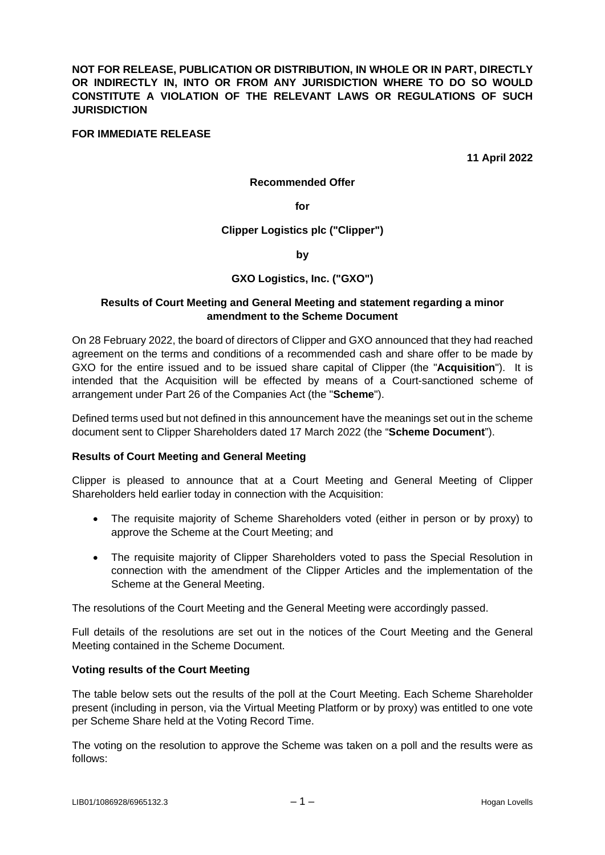**NOT FOR RELEASE, PUBLICATION OR DISTRIBUTION, IN WHOLE OR IN PART, DIRECTLY OR INDIRECTLY IN, INTO OR FROM ANY JURISDICTION WHERE TO DO SO WOULD CONSTITUTE A VIOLATION OF THE RELEVANT LAWS OR REGULATIONS OF SUCH JURISDICTION** 

### **FOR IMMEDIATE RELEASE**

**11 April 2022** 

#### **Recommended Offer**

**for** 

**Clipper Logistics plc ("Clipper")** 

**by** 

### **GXO Logistics, Inc. ("GXO")**

#### **Results of Court Meeting and General Meeting and statement regarding a minor amendment to the Scheme Document**

On 28 February 2022, the board of directors of Clipper and GXO announced that they had reached agreement on the terms and conditions of a recommended cash and share offer to be made by GXO for the entire issued and to be issued share capital of Clipper (the "**Acquisition**"). It is intended that the Acquisition will be effected by means of a Court-sanctioned scheme of arrangement under Part 26 of the Companies Act (the "**Scheme**").

Defined terms used but not defined in this announcement have the meanings set out in the scheme document sent to Clipper Shareholders dated 17 March 2022 (the "**Scheme Document**").

### **Results of Court Meeting and General Meeting**

Clipper is pleased to announce that at a Court Meeting and General Meeting of Clipper Shareholders held earlier today in connection with the Acquisition:

- The requisite majority of Scheme Shareholders voted (either in person or by proxy) to approve the Scheme at the Court Meeting; and
- The requisite majority of Clipper Shareholders voted to pass the Special Resolution in connection with the amendment of the Clipper Articles and the implementation of the Scheme at the General Meeting.

The resolutions of the Court Meeting and the General Meeting were accordingly passed.

Full details of the resolutions are set out in the notices of the Court Meeting and the General Meeting contained in the Scheme Document.

### **Voting results of the Court Meeting**

The table below sets out the results of the poll at the Court Meeting. Each Scheme Shareholder present (including in person, via the Virtual Meeting Platform or by proxy) was entitled to one vote per Scheme Share held at the Voting Record Time.

The voting on the resolution to approve the Scheme was taken on a poll and the results were as follows: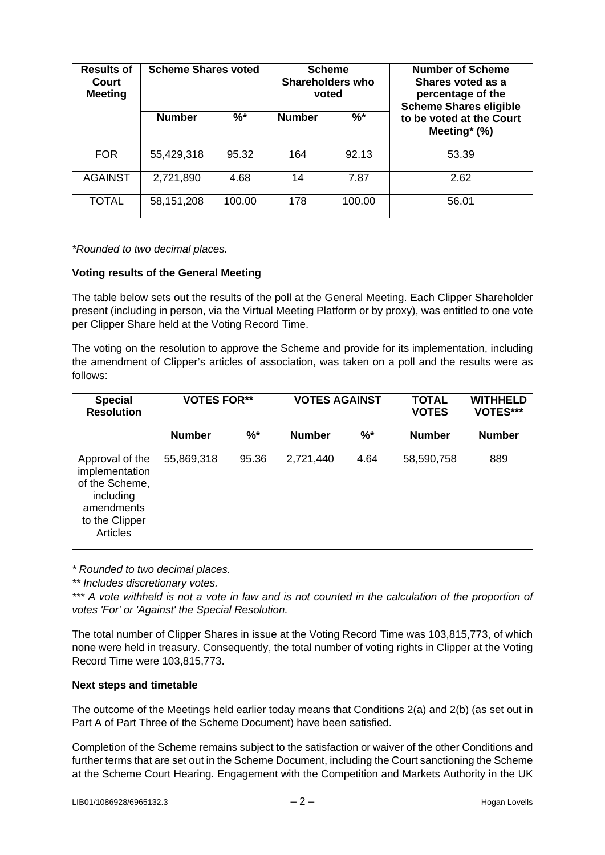| <b>Results of</b><br>Court<br><b>Meeting</b> |               | <b>Scheme Shares voted</b><br><b>Scheme</b><br><b>Shareholders who</b><br>voted |               |        | <b>Number of Scheme</b><br>Shares voted as a<br>percentage of the<br><b>Scheme Shares eligible</b> |
|----------------------------------------------|---------------|---------------------------------------------------------------------------------|---------------|--------|----------------------------------------------------------------------------------------------------|
|                                              | <b>Number</b> | %*                                                                              | <b>Number</b> | $%^*$  | to be voted at the Court<br>Meeting* $(\%)$                                                        |
| <b>FOR</b>                                   | 55,429,318    | 95.32                                                                           | 164           | 92.13  | 53.39                                                                                              |
| <b>AGAINST</b>                               | 2,721,890     | 4.68                                                                            | 14            | 7.87   | 2.62                                                                                               |
| <b>TOTAL</b>                                 | 58,151,208    | 100.00                                                                          | 178           | 100.00 | 56.01                                                                                              |

*\*Rounded to two decimal places.* 

### **Voting results of the General Meeting**

The table below sets out the results of the poll at the General Meeting. Each Clipper Shareholder present (including in person, via the Virtual Meeting Platform or by proxy), was entitled to one vote per Clipper Share held at the Voting Record Time.

The voting on the resolution to approve the Scheme and provide for its implementation, including the amendment of Clipper's articles of association, was taken on a poll and the results were as follows:

| <b>Special</b><br><b>Resolution</b>                                                                                 | <b>VOTES FOR**</b> |       | <b>VOTES AGAINST</b> |       | <b>TOTAL</b><br><b>VOTES</b> | <b>WITHHELD</b><br>VOTES*** |
|---------------------------------------------------------------------------------------------------------------------|--------------------|-------|----------------------|-------|------------------------------|-----------------------------|
|                                                                                                                     | <b>Number</b>      | $%^*$ | <b>Number</b>        | $%^*$ | <b>Number</b>                | <b>Number</b>               |
| Approval of the<br>implementation<br>of the Scheme,<br>including<br>amendments<br>to the Clipper<br><b>Articles</b> | 55,869,318         | 95.36 | 2,721,440            | 4.64  | 58,590,758                   | 889                         |

*\* Rounded to two decimal places.* 

*\*\* Includes discretionary votes.* 

\*\*\* A vote withheld is not a vote in law and is not counted in the calculation of the proportion of *votes 'For' or 'Against' the Special Resolution.* 

The total number of Clipper Shares in issue at the Voting Record Time was 103,815,773, of which none were held in treasury. Consequently, the total number of voting rights in Clipper at the Voting Record Time were 103,815,773.

### **Next steps and timetable**

The outcome of the Meetings held earlier today means that Conditions 2(a) and 2(b) (as set out in Part A of Part Three of the Scheme Document) have been satisfied.

Completion of the Scheme remains subject to the satisfaction or waiver of the other Conditions and further terms that are set out in the Scheme Document, including the Court sanctioning the Scheme at the Scheme Court Hearing. Engagement with the Competition and Markets Authority in the UK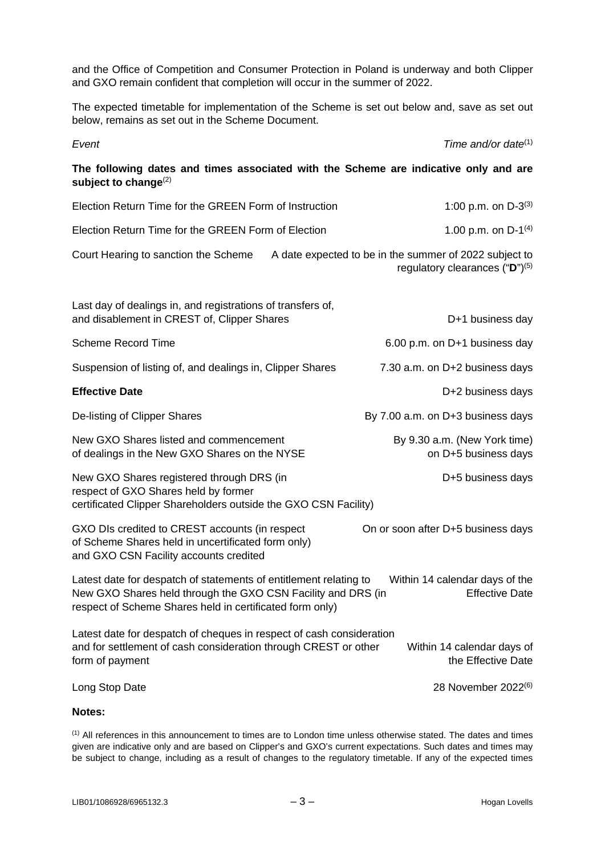and the Office of Competition and Consumer Protection in Poland is underway and both Clipper and GXO remain confident that completion will occur in the summer of 2022.

The expected timetable for implementation of the Scheme is set out below and, save as set out below, remains as set out in the Scheme Document.

*Event Time and/or date*(1)

**The following dates and times associated with the Scheme are indicative only and are**  subject to change<sup>(2)</sup>

| Election Return Time for the GREEN Form of Instruction |                                                        | 1:00 p.m. on $D-3^{(3)}$ |
|--------------------------------------------------------|--------------------------------------------------------|--------------------------|
| Election Return Time for the GREEN Form of Election    |                                                        | 1.00 p.m. on $D-1^{(4)}$ |
| Court Hearing to sanction the Scheme                   | A date expected to be in the summer of 2022 subject to |                          |

regulatory clearances ("**D**")(5)

| Last day of dealings in, and registrations of transfers of,<br>and disablement in CREST of, Clipper Shares                                                                                                                                               | D+1 business day                                     |  |  |
|----------------------------------------------------------------------------------------------------------------------------------------------------------------------------------------------------------------------------------------------------------|------------------------------------------------------|--|--|
| <b>Scheme Record Time</b>                                                                                                                                                                                                                                | 6.00 p.m. on D+1 business day                        |  |  |
| Suspension of listing of, and dealings in, Clipper Shares                                                                                                                                                                                                | 7.30 a.m. on D+2 business days                       |  |  |
| <b>Effective Date</b>                                                                                                                                                                                                                                    | D+2 business days                                    |  |  |
| De-listing of Clipper Shares                                                                                                                                                                                                                             | By 7.00 a.m. on D+3 business days                    |  |  |
| New GXO Shares listed and commencement<br>of dealings in the New GXO Shares on the NYSE                                                                                                                                                                  | By 9.30 a.m. (New York time)<br>on D+5 business days |  |  |
| New GXO Shares registered through DRS (in<br>respect of GXO Shares held by former<br>certificated Clipper Shareholders outside the GXO CSN Facility)                                                                                                     | D+5 business days                                    |  |  |
| GXO DIs credited to CREST accounts (in respect<br>of Scheme Shares held in uncertificated form only)<br>and GXO CSN Facility accounts credited                                                                                                           | On or soon after D+5 business days                   |  |  |
| Latest date for despatch of statements of entitlement relating to<br>Within 14 calendar days of the<br>New GXO Shares held through the GXO CSN Facility and DRS (in<br><b>Effective Date</b><br>respect of Scheme Shares held in certificated form only) |                                                      |  |  |
| Latest date for despatch of cheques in respect of cash consideration<br>and for settlement of cash consideration through CREST or other<br>Within 14 calendar days of<br>the Effective Date<br>form of payment                                           |                                                      |  |  |
| Long Stop Date                                                                                                                                                                                                                                           | 28 November 2022 <sup>(6)</sup>                      |  |  |
| <b>Notes:</b>                                                                                                                                                                                                                                            |                                                      |  |  |

(1) All references in this announcement to times are to London time unless otherwise stated. The dates and times given are indicative only and are based on Clipper's and GXO's current expectations. Such dates and times may be subject to change, including as a result of changes to the regulatory timetable. If any of the expected times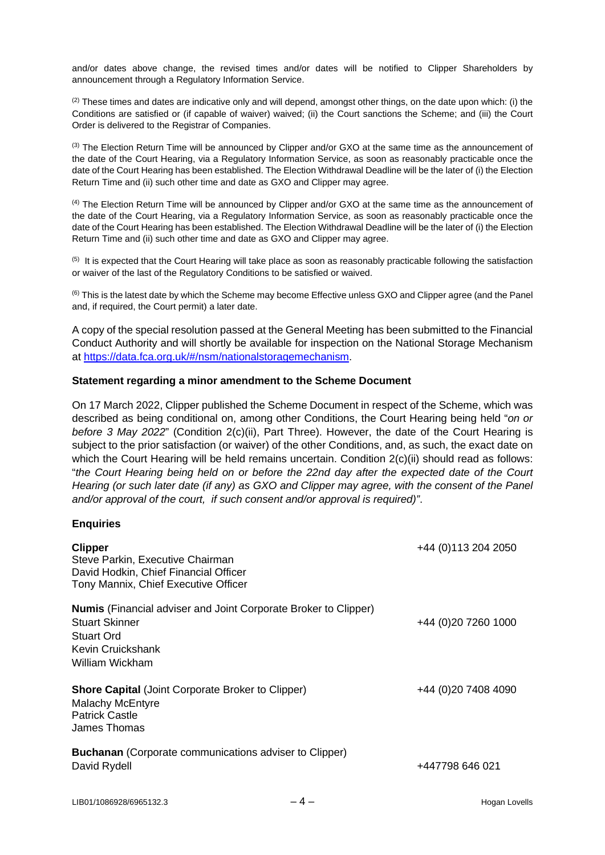and/or dates above change, the revised times and/or dates will be notified to Clipper Shareholders by announcement through a Regulatory Information Service.

 $(2)$  These times and dates are indicative only and will depend, amongst other things, on the date upon which: (i) the Conditions are satisfied or (if capable of waiver) waived; (ii) the Court sanctions the Scheme; and (iii) the Court Order is delivered to the Registrar of Companies.

(3) The Election Return Time will be announced by Clipper and/or GXO at the same time as the announcement of the date of the Court Hearing, via a Regulatory Information Service, as soon as reasonably practicable once the date of the Court Hearing has been established. The Election Withdrawal Deadline will be the later of (i) the Election Return Time and (ii) such other time and date as GXO and Clipper may agree.

(4) The Election Return Time will be announced by Clipper and/or GXO at the same time as the announcement of the date of the Court Hearing, via a Regulatory Information Service, as soon as reasonably practicable once the date of the Court Hearing has been established. The Election Withdrawal Deadline will be the later of (i) the Election Return Time and (ii) such other time and date as GXO and Clipper may agree.

 $<sup>(5)</sup>$  It is expected that the Court Hearing will take place as soon as reasonably practicable following the satisfaction</sup> or waiver of the last of the Regulatory Conditions to be satisfied or waived.

 $<sup>(6)</sup>$  This is the latest date by which the Scheme may become Effective unless GXO and Clipper agree (and the Panel</sup> and, if required, the Court permit) a later date.

A copy of the special resolution passed at the General Meeting has been submitted to the Financial Conduct Authority and will shortly be available for inspection on the National Storage Mechanism at [https://data.fca.org.uk/#/nsm/nationalstoragemechanism.](https://data.fca.org.uk/#/nsm/nationalstoragemechanism)

### **Statement regarding a minor amendment to the Scheme Document**

On 17 March 2022, Clipper published the Scheme Document in respect of the Scheme, which was described as being conditional on, among other Conditions, the Court Hearing being held "*on or before 3 May 2022*" (Condition 2(c)(ii), Part Three). However, the date of the Court Hearing is subject to the prior satisfaction (or waiver) of the other Conditions, and, as such, the exact date on which the Court Hearing will be held remains uncertain. Condition  $2(c)(ii)$  should read as follows: "*the Court Hearing being held on or before the 22nd day after the expected date of the Court Hearing (or such later date (if any) as GXO and Clipper may agree, with the consent of the Panel and/or approval of the court, if such consent and/or approval is required)"*.

### **Enquiries**

| <b>Clipper</b><br>Steve Parkin, Executive Chairman<br>David Hodkin, Chief Financial Officer<br>Tony Mannix, Chief Executive Officer                          | +44 (0) 113 204 2050 |
|--------------------------------------------------------------------------------------------------------------------------------------------------------------|----------------------|
| <b>Numis</b> (Financial adviser and Joint Corporate Broker to Clipper)<br><b>Stuart Skinner</b><br><b>Stuart Ord</b><br>Kevin Cruickshank<br>William Wickham | +44 (0) 20 7260 1000 |
| <b>Shore Capital (Joint Corporate Broker to Clipper)</b><br>Malachy McEntyre<br><b>Patrick Castle</b><br>James Thomas                                        | +44 (0) 20 7408 4090 |
| <b>Buchanan</b> (Corporate communications adviser to Clipper)<br>David Rydell                                                                                | +447798 646 021      |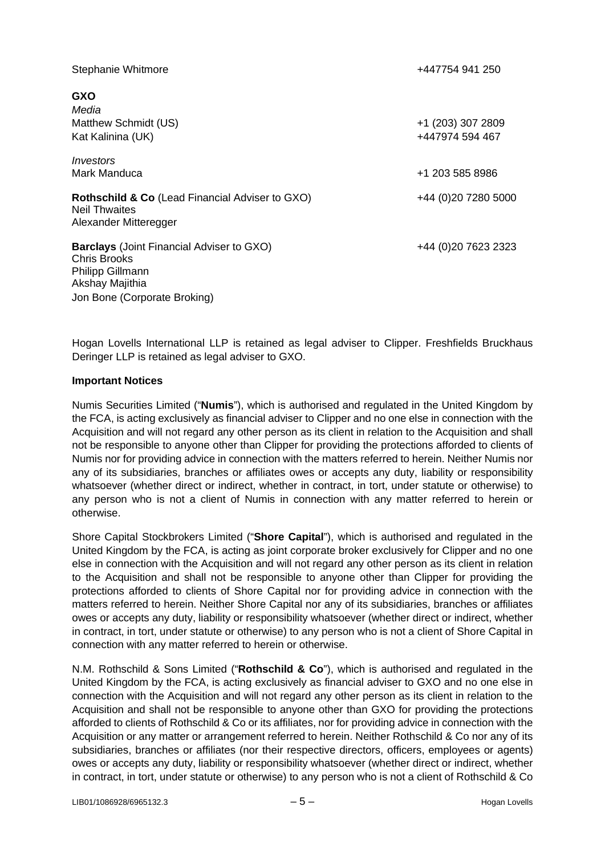| Stephanie Whitmore                                                                                             | +447754 941 250     |
|----------------------------------------------------------------------------------------------------------------|---------------------|
| <b>GXO</b>                                                                                                     |                     |
| Media                                                                                                          |                     |
| Matthew Schmidt (US)                                                                                           | +1 (203) 307 2809   |
| Kat Kalinina (UK)                                                                                              | +447974 594 467     |
| Investors                                                                                                      |                     |
| Mark Manduca                                                                                                   | +1 203 585 8986     |
| Rothschild & Co (Lead Financial Adviser to GXO)<br><b>Neil Thwaites</b><br>Alexander Mitteregger               | +44 (0)20 7280 5000 |
| <b>Barclays</b> (Joint Financial Adviser to GXO)<br>Chris Brooks<br><b>Philipp Gillmann</b><br>Akshay Majithia | +44 (0)20 7623 2323 |
| Jon Bone (Corporate Broking)                                                                                   |                     |

Hogan Lovells International LLP is retained as legal adviser to Clipper. Freshfields Bruckhaus Deringer LLP is retained as legal adviser to GXO.

### **Important Notices**

Numis Securities Limited ("**Numis**"), which is authorised and regulated in the United Kingdom by the FCA, is acting exclusively as financial adviser to Clipper and no one else in connection with the Acquisition and will not regard any other person as its client in relation to the Acquisition and shall not be responsible to anyone other than Clipper for providing the protections afforded to clients of Numis nor for providing advice in connection with the matters referred to herein. Neither Numis nor any of its subsidiaries, branches or affiliates owes or accepts any duty, liability or responsibility whatsoever (whether direct or indirect, whether in contract, in tort, under statute or otherwise) to any person who is not a client of Numis in connection with any matter referred to herein or otherwise.

Shore Capital Stockbrokers Limited ("**Shore Capital**"), which is authorised and regulated in the United Kingdom by the FCA, is acting as joint corporate broker exclusively for Clipper and no one else in connection with the Acquisition and will not regard any other person as its client in relation to the Acquisition and shall not be responsible to anyone other than Clipper for providing the protections afforded to clients of Shore Capital nor for providing advice in connection with the matters referred to herein. Neither Shore Capital nor any of its subsidiaries, branches or affiliates owes or accepts any duty, liability or responsibility whatsoever (whether direct or indirect, whether in contract, in tort, under statute or otherwise) to any person who is not a client of Shore Capital in connection with any matter referred to herein or otherwise.

N.M. Rothschild & Sons Limited ("**Rothschild & Co**"), which is authorised and regulated in the United Kingdom by the FCA, is acting exclusively as financial adviser to GXO and no one else in connection with the Acquisition and will not regard any other person as its client in relation to the Acquisition and shall not be responsible to anyone other than GXO for providing the protections afforded to clients of Rothschild & Co or its affiliates, nor for providing advice in connection with the Acquisition or any matter or arrangement referred to herein. Neither Rothschild & Co nor any of its subsidiaries, branches or affiliates (nor their respective directors, officers, employees or agents) owes or accepts any duty, liability or responsibility whatsoever (whether direct or indirect, whether in contract, in tort, under statute or otherwise) to any person who is not a client of Rothschild & Co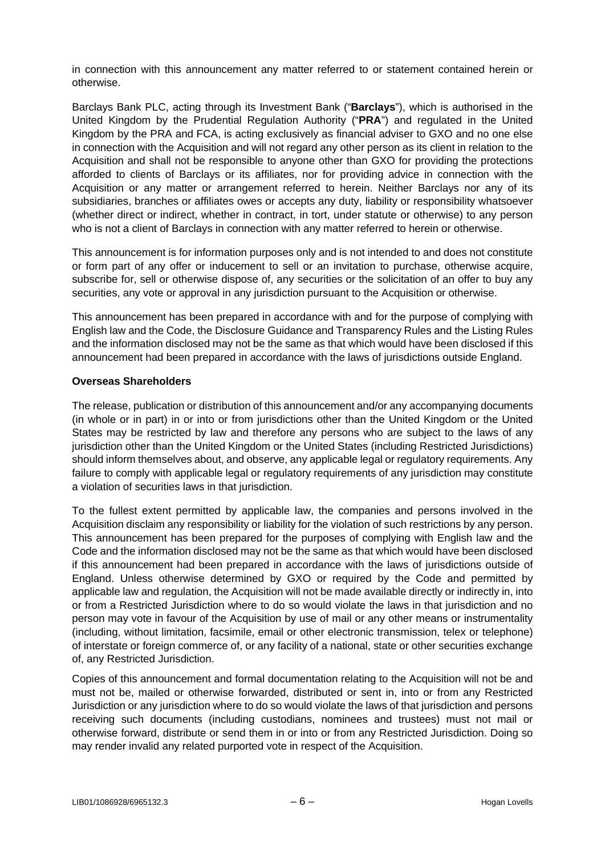in connection with this announcement any matter referred to or statement contained herein or otherwise.

Barclays Bank PLC, acting through its Investment Bank ("**Barclays**"), which is authorised in the United Kingdom by the Prudential Regulation Authority ("**PRA**") and regulated in the United Kingdom by the PRA and FCA, is acting exclusively as financial adviser to GXO and no one else in connection with the Acquisition and will not regard any other person as its client in relation to the Acquisition and shall not be responsible to anyone other than GXO for providing the protections afforded to clients of Barclays or its affiliates, nor for providing advice in connection with the Acquisition or any matter or arrangement referred to herein. Neither Barclays nor any of its subsidiaries, branches or affiliates owes or accepts any duty, liability or responsibility whatsoever (whether direct or indirect, whether in contract, in tort, under statute or otherwise) to any person who is not a client of Barclays in connection with any matter referred to herein or otherwise.

This announcement is for information purposes only and is not intended to and does not constitute or form part of any offer or inducement to sell or an invitation to purchase, otherwise acquire, subscribe for, sell or otherwise dispose of, any securities or the solicitation of an offer to buy any securities, any vote or approval in any jurisdiction pursuant to the Acquisition or otherwise.

This announcement has been prepared in accordance with and for the purpose of complying with English law and the Code, the Disclosure Guidance and Transparency Rules and the Listing Rules and the information disclosed may not be the same as that which would have been disclosed if this announcement had been prepared in accordance with the laws of jurisdictions outside England.

# **Overseas Shareholders**

The release, publication or distribution of this announcement and/or any accompanying documents (in whole or in part) in or into or from jurisdictions other than the United Kingdom or the United States may be restricted by law and therefore any persons who are subject to the laws of any jurisdiction other than the United Kingdom or the United States (including Restricted Jurisdictions) should inform themselves about, and observe, any applicable legal or regulatory requirements. Any failure to comply with applicable legal or requiatory requirements of any jurisdiction may constitute a violation of securities laws in that jurisdiction.

To the fullest extent permitted by applicable law, the companies and persons involved in the Acquisition disclaim any responsibility or liability for the violation of such restrictions by any person. This announcement has been prepared for the purposes of complying with English law and the Code and the information disclosed may not be the same as that which would have been disclosed if this announcement had been prepared in accordance with the laws of jurisdictions outside of England. Unless otherwise determined by GXO or required by the Code and permitted by applicable law and regulation, the Acquisition will not be made available directly or indirectly in, into or from a Restricted Jurisdiction where to do so would violate the laws in that jurisdiction and no person may vote in favour of the Acquisition by use of mail or any other means or instrumentality (including, without limitation, facsimile, email or other electronic transmission, telex or telephone) of interstate or foreign commerce of, or any facility of a national, state or other securities exchange of, any Restricted Jurisdiction.

Copies of this announcement and formal documentation relating to the Acquisition will not be and must not be, mailed or otherwise forwarded, distributed or sent in, into or from any Restricted Jurisdiction or any jurisdiction where to do so would violate the laws of that jurisdiction and persons receiving such documents (including custodians, nominees and trustees) must not mail or otherwise forward, distribute or send them in or into or from any Restricted Jurisdiction. Doing so may render invalid any related purported vote in respect of the Acquisition.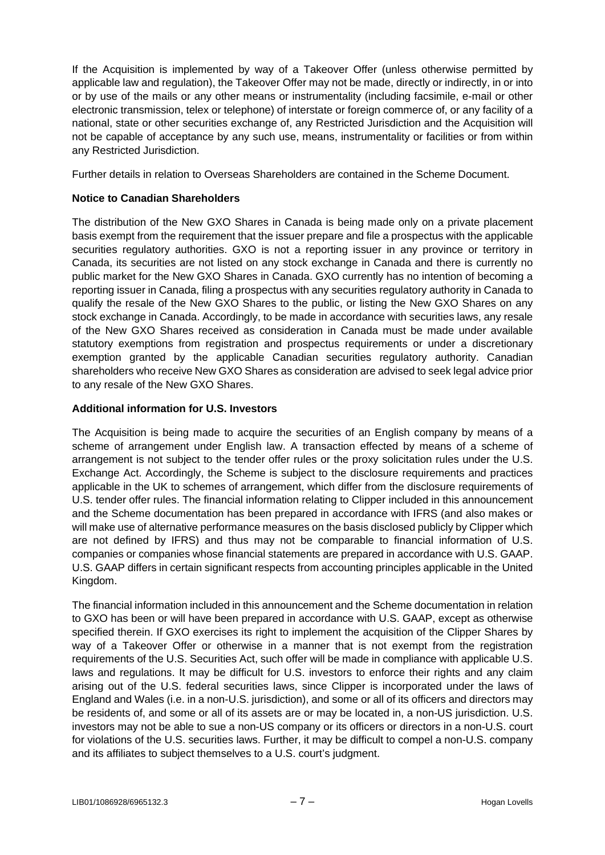If the Acquisition is implemented by way of a Takeover Offer (unless otherwise permitted by applicable law and regulation), the Takeover Offer may not be made, directly or indirectly, in or into or by use of the mails or any other means or instrumentality (including facsimile, e-mail or other electronic transmission, telex or telephone) of interstate or foreign commerce of, or any facility of a national, state or other securities exchange of, any Restricted Jurisdiction and the Acquisition will not be capable of acceptance by any such use, means, instrumentality or facilities or from within any Restricted Jurisdiction.

Further details in relation to Overseas Shareholders are contained in the Scheme Document.

# **Notice to Canadian Shareholders**

The distribution of the New GXO Shares in Canada is being made only on a private placement basis exempt from the requirement that the issuer prepare and file a prospectus with the applicable securities regulatory authorities. GXO is not a reporting issuer in any province or territory in Canada, its securities are not listed on any stock exchange in Canada and there is currently no public market for the New GXO Shares in Canada. GXO currently has no intention of becoming a reporting issuer in Canada, filing a prospectus with any securities regulatory authority in Canada to qualify the resale of the New GXO Shares to the public, or listing the New GXO Shares on any stock exchange in Canada. Accordingly, to be made in accordance with securities laws, any resale of the New GXO Shares received as consideration in Canada must be made under available statutory exemptions from registration and prospectus requirements or under a discretionary exemption granted by the applicable Canadian securities regulatory authority. Canadian shareholders who receive New GXO Shares as consideration are advised to seek legal advice prior to any resale of the New GXO Shares.

# **Additional information for U.S. Investors**

The Acquisition is being made to acquire the securities of an English company by means of a scheme of arrangement under English law. A transaction effected by means of a scheme of arrangement is not subject to the tender offer rules or the proxy solicitation rules under the U.S. Exchange Act. Accordingly, the Scheme is subject to the disclosure requirements and practices applicable in the UK to schemes of arrangement, which differ from the disclosure requirements of U.S. tender offer rules. The financial information relating to Clipper included in this announcement and the Scheme documentation has been prepared in accordance with IFRS (and also makes or will make use of alternative performance measures on the basis disclosed publicly by Clipper which are not defined by IFRS) and thus may not be comparable to financial information of U.S. companies or companies whose financial statements are prepared in accordance with U.S. GAAP. U.S. GAAP differs in certain significant respects from accounting principles applicable in the United Kingdom.

The financial information included in this announcement and the Scheme documentation in relation to GXO has been or will have been prepared in accordance with U.S. GAAP, except as otherwise specified therein. If GXO exercises its right to implement the acquisition of the Clipper Shares by way of a Takeover Offer or otherwise in a manner that is not exempt from the registration requirements of the U.S. Securities Act, such offer will be made in compliance with applicable U.S. laws and regulations. It may be difficult for U.S. investors to enforce their rights and any claim arising out of the U.S. federal securities laws, since Clipper is incorporated under the laws of England and Wales (i.e. in a non-U.S. jurisdiction), and some or all of its officers and directors may be residents of, and some or all of its assets are or may be located in, a non-US jurisdiction. U.S. investors may not be able to sue a non-US company or its officers or directors in a non-U.S. court for violations of the U.S. securities laws. Further, it may be difficult to compel a non-U.S. company and its affiliates to subject themselves to a U.S. court's judgment.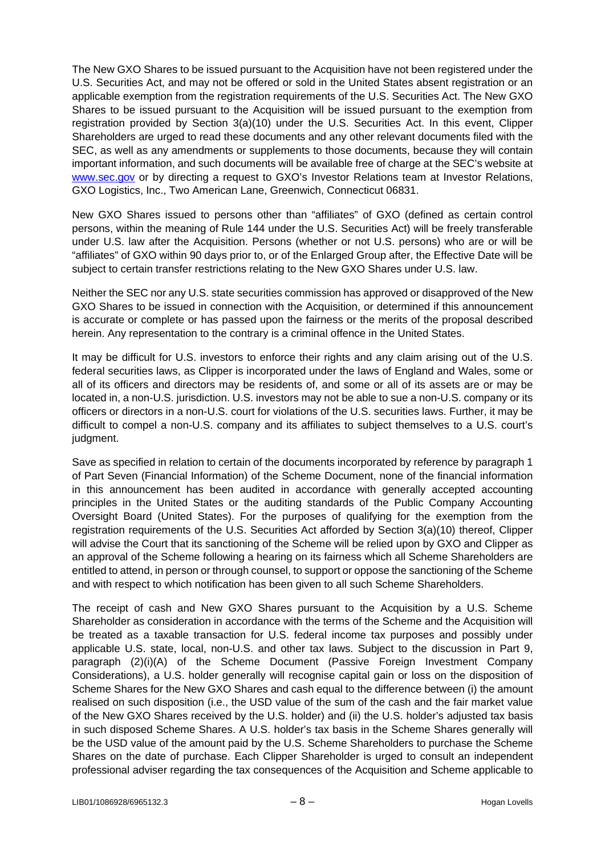The New GXO Shares to be issued pursuant to the Acquisition have not been registered under the U.S. Securities Act, and may not be offered or sold in the United States absent registration or an applicable exemption from the registration requirements of the U.S. Securities Act. The New GXO Shares to be issued pursuant to the Acquisition will be issued pursuant to the exemption from registration provided by Section 3(a)(10) under the U.S. Securities Act. In this event, Clipper Shareholders are urged to read these documents and any other relevant documents filed with the SEC, as well as any amendments or supplements to those documents, because they will contain important information, and such documents will be available free of charge at the SEC's website at [www.sec.gov](http://www.sec.gov/) or by directing a request to GXO's Investor Relations team at Investor Relations, GXO Logistics, Inc., Two American Lane, Greenwich, Connecticut 06831.

New GXO Shares issued to persons other than "affiliates" of GXO (defined as certain control persons, within the meaning of Rule 144 under the U.S. Securities Act) will be freely transferable under U.S. law after the Acquisition. Persons (whether or not U.S. persons) who are or will be "affiliates" of GXO within 90 days prior to, or of the Enlarged Group after, the Effective Date will be subject to certain transfer restrictions relating to the New GXO Shares under U.S. law.

Neither the SEC nor any U.S. state securities commission has approved or disapproved of the New GXO Shares to be issued in connection with the Acquisition, or determined if this announcement is accurate or complete or has passed upon the fairness or the merits of the proposal described herein. Any representation to the contrary is a criminal offence in the United States.

It may be difficult for U.S. investors to enforce their rights and any claim arising out of the U.S. federal securities laws, as Clipper is incorporated under the laws of England and Wales, some or all of its officers and directors may be residents of, and some or all of its assets are or may be located in, a non-U.S. jurisdiction. U.S. investors may not be able to sue a non-U.S. company or its officers or directors in a non-U.S. court for violations of the U.S. securities laws. Further, it may be difficult to compel a non-U.S. company and its affiliates to subject themselves to a U.S. court's judgment.

Save as specified in relation to certain of the documents incorporated by reference by paragraph 1 of Part Seven (Financial Information) of the Scheme Document, none of the financial information in this announcement has been audited in accordance with generally accepted accounting principles in the United States or the auditing standards of the Public Company Accounting Oversight Board (United States). For the purposes of qualifying for the exemption from the registration requirements of the U.S. Securities Act afforded by Section 3(a)(10) thereof, Clipper will advise the Court that its sanctioning of the Scheme will be relied upon by GXO and Clipper as an approval of the Scheme following a hearing on its fairness which all Scheme Shareholders are entitled to attend, in person or through counsel, to support or oppose the sanctioning of the Scheme and with respect to which notification has been given to all such Scheme Shareholders.

The receipt of cash and New GXO Shares pursuant to the Acquisition by a U.S. Scheme Shareholder as consideration in accordance with the terms of the Scheme and the Acquisition will be treated as a taxable transaction for U.S. federal income tax purposes and possibly under applicable U.S. state, local, non-U.S. and other tax laws. Subject to the discussion in Part 9, paragraph (2)(i)(A) of the Scheme Document (Passive Foreign Investment Company Considerations), a U.S. holder generally will recognise capital gain or loss on the disposition of Scheme Shares for the New GXO Shares and cash equal to the difference between (i) the amount realised on such disposition (i.e., the USD value of the sum of the cash and the fair market value of the New GXO Shares received by the U.S. holder) and (ii) the U.S. holder's adjusted tax basis in such disposed Scheme Shares. A U.S. holder's tax basis in the Scheme Shares generally will be the USD value of the amount paid by the U.S. Scheme Shareholders to purchase the Scheme Shares on the date of purchase. Each Clipper Shareholder is urged to consult an independent professional adviser regarding the tax consequences of the Acquisition and Scheme applicable to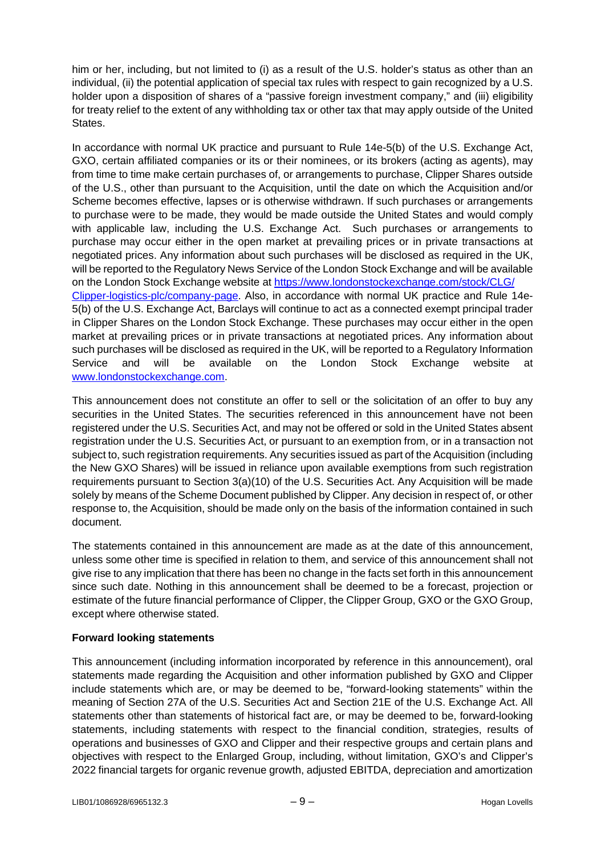him or her, including, but not limited to (i) as a result of the U.S. holder's status as other than an individual, (ii) the potential application of special tax rules with respect to gain recognized by a U.S. holder upon a disposition of shares of a "passive foreign investment company," and (iii) eligibility for treaty relief to the extent of any withholding tax or other tax that may apply outside of the United States.

In accordance with normal UK practice and pursuant to Rule 14e-5(b) of the U.S. Exchange Act, GXO, certain affiliated companies or its or their nominees, or its brokers (acting as agents), may from time to time make certain purchases of, or arrangements to purchase, Clipper Shares outside of the U.S., other than pursuant to the Acquisition, until the date on which the Acquisition and/or Scheme becomes effective, lapses or is otherwise withdrawn. If such purchases or arrangements to purchase were to be made, they would be made outside the United States and would comply with applicable law, including the U.S. Exchange Act. Such purchases or arrangements to purchase may occur either in the open market at prevailing prices or in private transactions at negotiated prices. Any information about such purchases will be disclosed as required in the UK, will be reported to the Regulatory News Service of the London Stock Exchange and will be available on the London Stock Exchange website at [https://www.londonstockexchange.com/stock/CLG/](https://www.londonstockexchange.com/stock/CLG/Clipper-logistics-plc/company-page)  [Clipper-logistics-plc/company-page.](https://www.londonstockexchange.com/stock/CLG/Clipper-logistics-plc/company-page) Also, in accordance with normal UK practice and Rule 14e-5(b) of the U.S. Exchange Act, Barclays will continue to act as a connected exempt principal trader in Clipper Shares on the London Stock Exchange. These purchases may occur either in the open market at prevailing prices or in private transactions at negotiated prices. Any information about such purchases will be disclosed as required in the UK, will be reported to a Regulatory Information Service and will be available on the London Stock Exchange website at [www.londonstockexchange.com.](http://www.londonstockexchange.com/)

This announcement does not constitute an offer to sell or the solicitation of an offer to buy any securities in the United States. The securities referenced in this announcement have not been registered under the U.S. Securities Act, and may not be offered or sold in the United States absent registration under the U.S. Securities Act, or pursuant to an exemption from, or in a transaction not subject to, such registration requirements. Any securities issued as part of the Acquisition (including the New GXO Shares) will be issued in reliance upon available exemptions from such registration requirements pursuant to Section 3(a)(10) of the U.S. Securities Act. Any Acquisition will be made solely by means of the Scheme Document published by Clipper. Any decision in respect of, or other response to, the Acquisition, should be made only on the basis of the information contained in such document.

The statements contained in this announcement are made as at the date of this announcement, unless some other time is specified in relation to them, and service of this announcement shall not give rise to any implication that there has been no change in the facts set forth in this announcement since such date. Nothing in this announcement shall be deemed to be a forecast, projection or estimate of the future financial performance of Clipper, the Clipper Group, GXO or the GXO Group, except where otherwise stated.

# **Forward looking statements**

This announcement (including information incorporated by reference in this announcement), oral statements made regarding the Acquisition and other information published by GXO and Clipper include statements which are, or may be deemed to be, "forward-looking statements" within the meaning of Section 27A of the U.S. Securities Act and Section 21E of the U.S. Exchange Act. All statements other than statements of historical fact are, or may be deemed to be, forward-looking statements, including statements with respect to the financial condition, strategies, results of operations and businesses of GXO and Clipper and their respective groups and certain plans and objectives with respect to the Enlarged Group, including, without limitation, GXO's and Clipper's 2022 financial targets for organic revenue growth, adjusted EBITDA, depreciation and amortization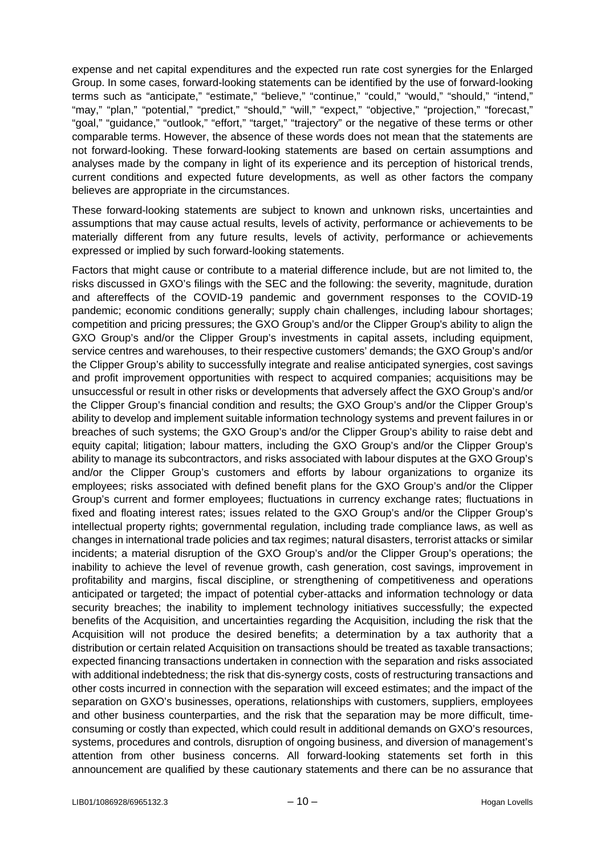expense and net capital expenditures and the expected run rate cost synergies for the Enlarged Group. In some cases, forward-looking statements can be identified by the use of forward-looking terms such as "anticipate," "estimate," "believe," "continue," "could," "would," "should," "intend," "may," "plan," "potential," "predict," "should," "will," "expect," "objective," "projection," "forecast," "goal," "guidance," "outlook," "effort," "target," "trajectory" or the negative of these terms or other comparable terms. However, the absence of these words does not mean that the statements are not forward-looking. These forward-looking statements are based on certain assumptions and analyses made by the company in light of its experience and its perception of historical trends, current conditions and expected future developments, as well as other factors the company believes are appropriate in the circumstances.

These forward-looking statements are subject to known and unknown risks, uncertainties and assumptions that may cause actual results, levels of activity, performance or achievements to be materially different from any future results, levels of activity, performance or achievements expressed or implied by such forward-looking statements.

Factors that might cause or contribute to a material difference include, but are not limited to, the risks discussed in GXO's filings with the SEC and the following: the severity, magnitude, duration and aftereffects of the COVID-19 pandemic and government responses to the COVID-19 pandemic; economic conditions generally; supply chain challenges, including labour shortages; competition and pricing pressures; the GXO Group's and/or the Clipper Group's ability to align the GXO Group's and/or the Clipper Group's investments in capital assets, including equipment, service centres and warehouses, to their respective customers' demands; the GXO Group's and/or the Clipper Group's ability to successfully integrate and realise anticipated synergies, cost savings and profit improvement opportunities with respect to acquired companies; acquisitions may be unsuccessful or result in other risks or developments that adversely affect the GXO Group's and/or the Clipper Group's financial condition and results; the GXO Group's and/or the Clipper Group's ability to develop and implement suitable information technology systems and prevent failures in or breaches of such systems; the GXO Group's and/or the Clipper Group's ability to raise debt and equity capital; litigation; labour matters, including the GXO Group's and/or the Clipper Group's ability to manage its subcontractors, and risks associated with labour disputes at the GXO Group's and/or the Clipper Group's customers and efforts by labour organizations to organize its employees; risks associated with defined benefit plans for the GXO Group's and/or the Clipper Group's current and former employees; fluctuations in currency exchange rates; fluctuations in fixed and floating interest rates; issues related to the GXO Group's and/or the Clipper Group's intellectual property rights; governmental regulation, including trade compliance laws, as well as changes in international trade policies and tax regimes; natural disasters, terrorist attacks or similar incidents; a material disruption of the GXO Group's and/or the Clipper Group's operations; the inability to achieve the level of revenue growth, cash generation, cost savings, improvement in profitability and margins, fiscal discipline, or strengthening of competitiveness and operations anticipated or targeted; the impact of potential cyber-attacks and information technology or data security breaches; the inability to implement technology initiatives successfully; the expected benefits of the Acquisition, and uncertainties regarding the Acquisition, including the risk that the Acquisition will not produce the desired benefits; a determination by a tax authority that a distribution or certain related Acquisition on transactions should be treated as taxable transactions; expected financing transactions undertaken in connection with the separation and risks associated with additional indebtedness; the risk that dis-synergy costs, costs of restructuring transactions and other costs incurred in connection with the separation will exceed estimates; and the impact of the separation on GXO's businesses, operations, relationships with customers, suppliers, employees and other business counterparties, and the risk that the separation may be more difficult, timeconsuming or costly than expected, which could result in additional demands on GXO's resources, systems, procedures and controls, disruption of ongoing business, and diversion of management's attention from other business concerns. All forward-looking statements set forth in this announcement are qualified by these cautionary statements and there can be no assurance that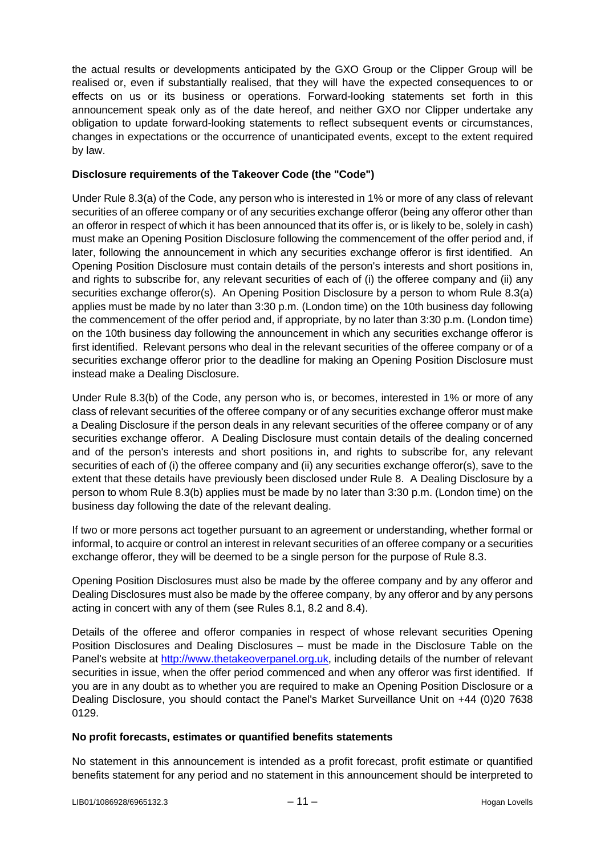the actual results or developments anticipated by the GXO Group or the Clipper Group will be realised or, even if substantially realised, that they will have the expected consequences to or effects on us or its business or operations. Forward-looking statements set forth in this announcement speak only as of the date hereof, and neither GXO nor Clipper undertake any obligation to update forward-looking statements to reflect subsequent events or circumstances, changes in expectations or the occurrence of unanticipated events, except to the extent required by law.

## **Disclosure requirements of the Takeover Code (the "Code")**

Under Rule 8.3(a) of the Code, any person who is interested in 1% or more of any class of relevant securities of an offeree company or of any securities exchange offeror (being any offeror other than an offeror in respect of which it has been announced that its offer is, or is likely to be, solely in cash) must make an Opening Position Disclosure following the commencement of the offer period and, if later, following the announcement in which any securities exchange offeror is first identified. An Opening Position Disclosure must contain details of the person's interests and short positions in, and rights to subscribe for, any relevant securities of each of (i) the offeree company and (ii) any securities exchange offeror(s). An Opening Position Disclosure by a person to whom Rule 8.3(a) applies must be made by no later than 3:30 p.m. (London time) on the 10th business day following the commencement of the offer period and, if appropriate, by no later than 3:30 p.m. (London time) on the 10th business day following the announcement in which any securities exchange offeror is first identified. Relevant persons who deal in the relevant securities of the offeree company or of a securities exchange offeror prior to the deadline for making an Opening Position Disclosure must instead make a Dealing Disclosure.

Under Rule 8.3(b) of the Code, any person who is, or becomes, interested in 1% or more of any class of relevant securities of the offeree company or of any securities exchange offeror must make a Dealing Disclosure if the person deals in any relevant securities of the offeree company or of any securities exchange offeror. A Dealing Disclosure must contain details of the dealing concerned and of the person's interests and short positions in, and rights to subscribe for, any relevant securities of each of (i) the offeree company and (ii) any securities exchange offeror(s), save to the extent that these details have previously been disclosed under Rule 8. A Dealing Disclosure by a person to whom Rule 8.3(b) applies must be made by no later than 3:30 p.m. (London time) on the business day following the date of the relevant dealing.

If two or more persons act together pursuant to an agreement or understanding, whether formal or informal, to acquire or control an interest in relevant securities of an offeree company or a securities exchange offeror, they will be deemed to be a single person for the purpose of Rule 8.3.

Opening Position Disclosures must also be made by the offeree company and by any offeror and Dealing Disclosures must also be made by the offeree company, by any offeror and by any persons acting in concert with any of them (see Rules 8.1, 8.2 and 8.4).

Details of the offeree and offeror companies in respect of whose relevant securities Opening Position Disclosures and Dealing Disclosures – must be made in the Disclosure Table on the Panel's website at [http://www.thetakeoverpanel.org.uk,](http://www.thetakeoverpanel.org.uk/) including details of the number of relevant securities in issue, when the offer period commenced and when any offeror was first identified. If you are in any doubt as to whether you are required to make an Opening Position Disclosure or a Dealing Disclosure, you should contact the Panel's Market Surveillance Unit on +44 (0)20 7638 0129.

### **No profit forecasts, estimates or quantified benefits statements**

No statement in this announcement is intended as a profit forecast, profit estimate or quantified benefits statement for any period and no statement in this announcement should be interpreted to